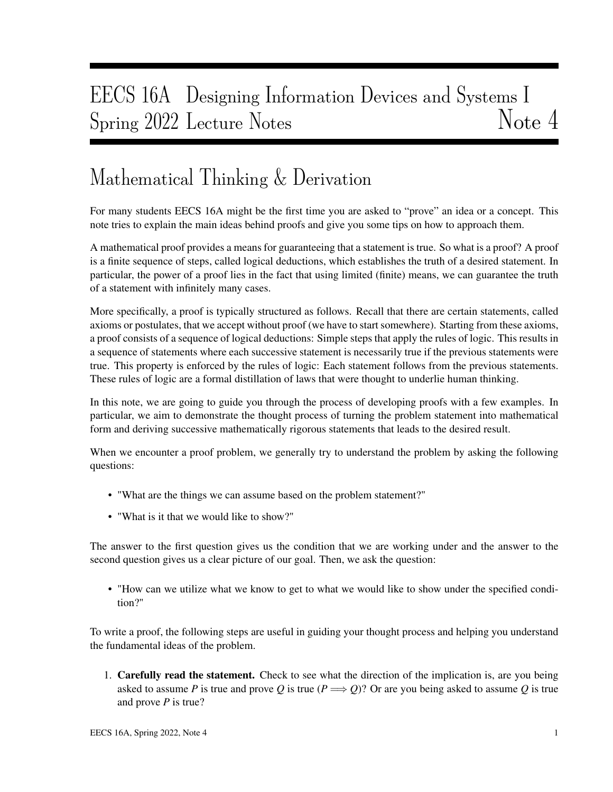# EECS 16A Designing Information Devices and Systems I Spring 2022 Lecture Notes Note 4

## Mathematical Thinking & Derivation

For many students EECS 16A might be the first time you are asked to "prove" an idea or a concept. This note tries to explain the main ideas behind proofs and give you some tips on how to approach them.

A mathematical proof provides a means for guaranteeing that a statement is true. So what is a proof? A proof is a finite sequence of steps, called logical deductions, which establishes the truth of a desired statement. In particular, the power of a proof lies in the fact that using limited (finite) means, we can guarantee the truth of a statement with infinitely many cases.

More specifically, a proof is typically structured as follows. Recall that there are certain statements, called axioms or postulates, that we accept without proof (we have to start somewhere). Starting from these axioms, a proof consists of a sequence of logical deductions: Simple steps that apply the rules of logic. This results in a sequence of statements where each successive statement is necessarily true if the previous statements were true. This property is enforced by the rules of logic: Each statement follows from the previous statements. These rules of logic are a formal distillation of laws that were thought to underlie human thinking.

In this note, we are going to guide you through the process of developing proofs with a few examples. In particular, we aim to demonstrate the thought process of turning the problem statement into mathematical form and deriving successive mathematically rigorous statements that leads to the desired result.

When we encounter a proof problem, we generally try to understand the problem by asking the following questions:

- "What are the things we can assume based on the problem statement?"
- "What is it that we would like to show?"

The answer to the first question gives us the condition that we are working under and the answer to the second question gives us a clear picture of our goal. Then, we ask the question:

• "How can we utilize what we know to get to what we would like to show under the specified condition?"

To write a proof, the following steps are useful in guiding your thought process and helping you understand the fundamental ideas of the problem.

1. Carefully read the statement. Check to see what the direction of the implication is, are you being asked to assume *P* is true and prove *Q* is true ( $P \implies Q$ )? Or are you being asked to assume *Q* is true and prove *P* is true?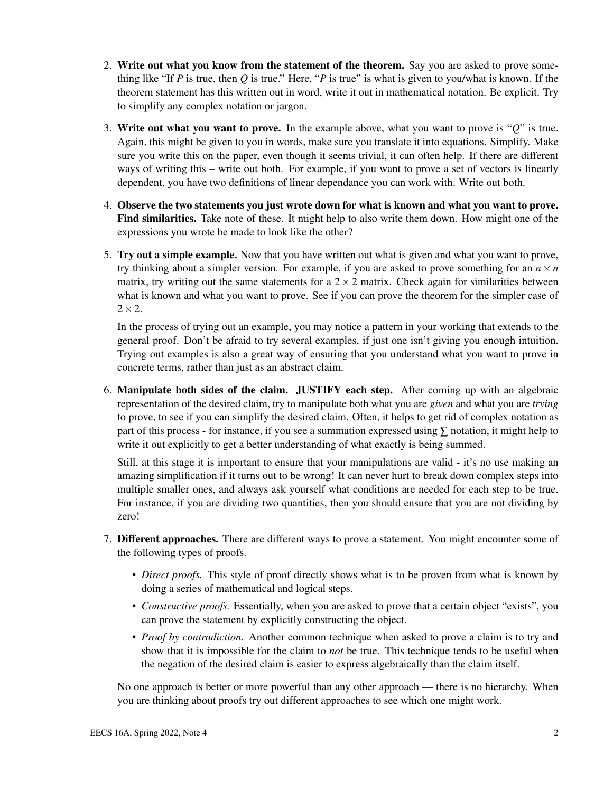- 2. Write out what you know from the statement of the theorem. Say you are asked to prove something like "If *P* is true, then *Q* is true." Here, "*P* is true" is what is given to you/what is known. If the theorem statement has this written out in word, write it out in mathematical notation. Be explicit. Try to simplify any complex notation or jargon.
- 3. Write out what you want to prove. In the example above, what you want to prove is "*Q*" is true. Again, this might be given to you in words, make sure you translate it into equations. Simplify. Make sure you write this on the paper, even though it seems trivial, it can often help. If there are different ways of writing this – write out both. For example, if you want to prove a set of vectors is linearly dependent, you have two definitions of linear dependance you can work with. Write out both.
- 4. Observe the two statements you just wrote down for what is known and what you want to prove. Find similarities. Take note of these. It might help to also write them down. How might one of the expressions you wrote be made to look like the other?
- 5. Try out a simple example. Now that you have written out what is given and what you want to prove, try thinking about a simpler version. For example, if you are asked to prove something for an  $n \times n$ matrix, try writing out the same statements for a  $2 \times 2$  matrix. Check again for similarities between what is known and what you want to prove. See if you can prove the theorem for the simpler case of  $2\times 2$ .

In the process of trying out an example, you may notice a pattern in your working that extends to the general proof. Don't be afraid to try several examples, if just one isn't giving you enough intuition. Trying out examples is also a great way of ensuring that you understand what you want to prove in concrete terms, rather than just as an abstract claim.

6. Manipulate both sides of the claim. JUSTIFY each step. After coming up with an algebraic representation of the desired claim, try to manipulate both what you are *given* and what you are *trying* to prove, to see if you can simplify the desired claim. Often, it helps to get rid of complex notation as part of this process - for instance, if you see a summation expressed using  $\Sigma$  notation, it might help to write it out explicitly to get a better understanding of what exactly is being summed.

Still, at this stage it is important to ensure that your manipulations are valid - it's no use making an amazing simplification if it turns out to be wrong! It can never hurt to break down complex steps into multiple smaller ones, and always ask yourself what conditions are needed for each step to be true. For instance, if you are dividing two quantities, then you should ensure that you are not dividing by zero!

- 7. Different approaches. There are different ways to prove a statement. You might encounter some of the following types of proofs.
	- *Direct proofs.* This style of proof directly shows what is to be proven from what is known by doing a series of mathematical and logical steps.
	- *Constructive proofs.* Essentially, when you are asked to prove that a certain object "exists", you can prove the statement by explicitly constructing the object.
	- *Proof by contradiction.* Another common technique when asked to prove a claim is to try and show that it is impossible for the claim to *not* be true. This technique tends to be useful when the negation of the desired claim is easier to express algebraically than the claim itself.

No one approach is better or more powerful than any other approach — there is no hierarchy. When you are thinking about proofs try out different approaches to see which one might work.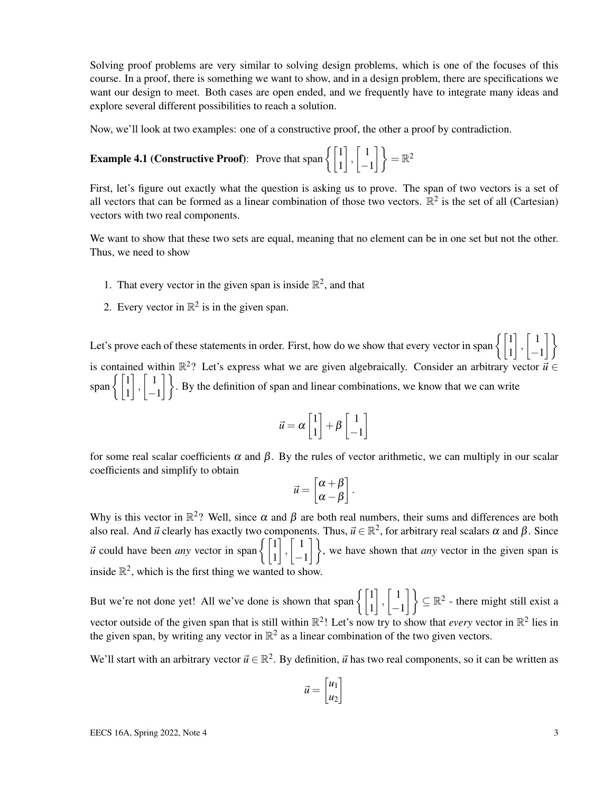Solving proof problems are very similar to solving design problems, which is one of the focuses of this course. In a proof, there is something we want to show, and in a design problem, there are specifications we want our design to meet. Both cases are open ended, and we frequently have to integrate many ideas and explore several different possibilities to reach a solution.

Now, we'll look at two examples: one of a constructive proof, the other a proof by contradiction.

**Example 4.1 (Constructive Proof):** Prove that span  $\begin{cases} 1 \\ 1 \end{cases}$  $\Big\}$ ,  $\Big\lceil \begin{array}{c} 1 \end{array}$  $\begin{bmatrix} 1 \\ -1 \end{bmatrix}$  =  $\mathbb{R}^2$ 

First, let's figure out exactly what the question is asking us to prove. The span of two vectors is a set of all vectors that can be formed as a linear combination of those two vectors.  $\mathbb{R}^2$  is the set of all (Cartesian) vectors with two real components.

We want to show that these two sets are equal, meaning that no element can be in one set but not the other. Thus, we need to show

- 1. That every vector in the given span is inside  $\mathbb{R}^2$ , and that
- 2. Every vector in  $\mathbb{R}^2$  is in the given span.

Let's prove each of these statements in order. First, how do we show that every vector in span  $\begin{cases} 1 \ 1 \end{cases}$  $\Big]$ ,  $\Big[$  1 −1 11 is contained within  $\mathbb{R}^2$ ? Let's express what we are given algebraically. Consider an arbitrary vector  $\vec{u} \in$ span $\left\{ \begin{bmatrix} 1 \\ 1 \end{bmatrix} \right\}$  $\Big\}$ ,  $\Big\lceil \begin{array}{c} 1 \end{array}$  $\begin{bmatrix} 1 \\ -1 \end{bmatrix}$ . By the definition of span and linear combinations, we know that we can write

$$
\vec{u} = \alpha \begin{bmatrix} 1 \\ 1 \end{bmatrix} + \beta \begin{bmatrix} 1 \\ -1 \end{bmatrix}
$$

for some real scalar coefficients  $\alpha$  and  $\beta$ . By the rules of vector arithmetic, we can multiply in our scalar coefficients and simplify to obtain

$$
\vec{u} = \begin{bmatrix} \alpha + \beta \\ \alpha - \beta \end{bmatrix}.
$$

Why is this vector in  $\mathbb{R}^2$ ? Well, since  $\alpha$  and  $\beta$  are both real numbers, their sums and differences are both also real. And  $\vec{u}$  clearly has exactly two components. Thus,  $\vec{u} \in \mathbb{R}^2$ , for arbitrary real scalars  $\alpha$  and  $\beta$ . Since  $\vec{u}$  could have been *any* vector in span  $\begin{cases} 1 \\ 1 \end{cases}$  $\Big\}$ ,  $\Big\}$  1  $\begin{pmatrix} 1 \\ -1 \end{pmatrix}$ , we have shown that *any* vector in the given span is inside  $\mathbb{R}^2$ , which is the first thing we wanted to show.

But we're not done yet! All we've done is shown that span  $\begin{cases} 1 \\ 1 \end{cases}$  $\Big\}$ ,  $\Big\}$  1  $\begin{pmatrix} 1 \\ -1 \end{pmatrix}$   $\subseteq \mathbb{R}^2$  - there might still exist a vector outside of the given span that is still within  $\mathbb{R}^2$ ! Let's now try to show that *every* vector in  $\mathbb{R}^2$  lies in the given span, by writing any vector in  $\mathbb{R}^2$  as a linear combination of the two given vectors.

We'll start with an arbitrary vector  $\vec{u} \in \mathbb{R}^2$ . By definition,  $\vec{u}$  has two real components, so it can be written as

$$
\vec{u} = \begin{bmatrix} u_1 \\ u_2 \end{bmatrix}
$$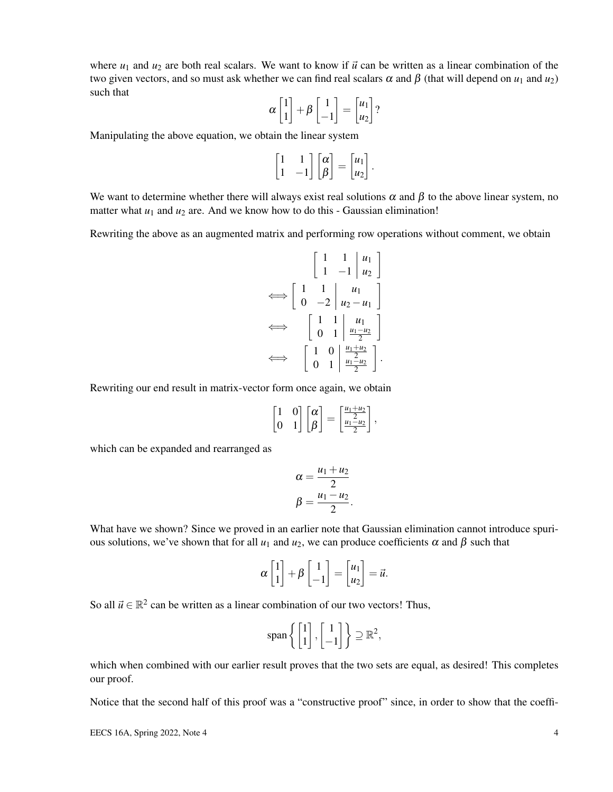where  $u_1$  and  $u_2$  are both real scalars. We want to know if  $\vec{u}$  can be written as a linear combination of the two given vectors, and so must ask whether we can find real scalars  $\alpha$  and  $\beta$  (that will depend on  $u_1$  and  $u_2$ ) such that

$$
\alpha \begin{bmatrix} 1 \\ 1 \end{bmatrix} + \beta \begin{bmatrix} 1 \\ -1 \end{bmatrix} = \begin{bmatrix} u_1 \\ u_2 \end{bmatrix}?
$$

Manipulating the above equation, we obtain the linear system

$$
\begin{bmatrix} 1 & 1 \\ 1 & -1 \end{bmatrix} \begin{bmatrix} \alpha \\ \beta \end{bmatrix} = \begin{bmatrix} u_1 \\ u_2 \end{bmatrix}.
$$

We want to determine whether there will always exist real solutions  $\alpha$  and  $\beta$  to the above linear system, no matter what  $u_1$  and  $u_2$  are. And we know how to do this - Gaussian elimination!

Rewriting the above as an augmented matrix and performing row operations without comment, we obtain

$$
\begin{bmatrix} 1 & 1 & | & u_1 \\ 1 & -1 & | & u_2 \end{bmatrix}
$$

$$
\iff \begin{bmatrix} 1 & 1 & | & u_1 \\ 0 & -2 & | & u_2 - u_1 \end{bmatrix}
$$

$$
\iff \begin{bmatrix} 1 & 1 & | & u_1 \\ 0 & 1 & | & \frac{u_1 - u_2}{2} \end{bmatrix}
$$

$$
\iff \begin{bmatrix} 1 & 0 & | & \frac{u_1 + u_2}{2} \\ 0 & 1 & | & \frac{u_1 - u_2}{2} \end{bmatrix}.
$$

Rewriting our end result in matrix-vector form once again, we obtain

$$
\begin{bmatrix} 1 & 0 \\ 0 & 1 \end{bmatrix} \begin{bmatrix} \alpha \\ \beta \end{bmatrix} = \begin{bmatrix} \frac{u_1 + u_2}{2} \\ \frac{u_1 - u_2}{2} \end{bmatrix},
$$

which can be expanded and rearranged as

$$
\alpha = \frac{u_1 + u_2}{2}
$$

$$
\beta = \frac{u_1 - u_2}{2}.
$$

What have we shown? Since we proved in an earlier note that Gaussian elimination cannot introduce spurious solutions, we've shown that for all  $u_1$  and  $u_2$ , we can produce coefficients α and β such that

$$
\alpha \begin{bmatrix} 1 \\ 1 \end{bmatrix} + \beta \begin{bmatrix} 1 \\ -1 \end{bmatrix} = \begin{bmatrix} u_1 \\ u_2 \end{bmatrix} = \vec{u}.
$$

So all  $\vec{u} \in \mathbb{R}^2$  can be written as a linear combination of our two vectors! Thus,

$$
\text{span}\left\{ \begin{bmatrix} 1 \\ 1 \end{bmatrix}, \begin{bmatrix} 1 \\ -1 \end{bmatrix} \right\} \supseteq \mathbb{R}^2,
$$

which when combined with our earlier result proves that the two sets are equal, as desired! This completes our proof.

Notice that the second half of this proof was a "constructive proof" since, in order to show that the coeffi-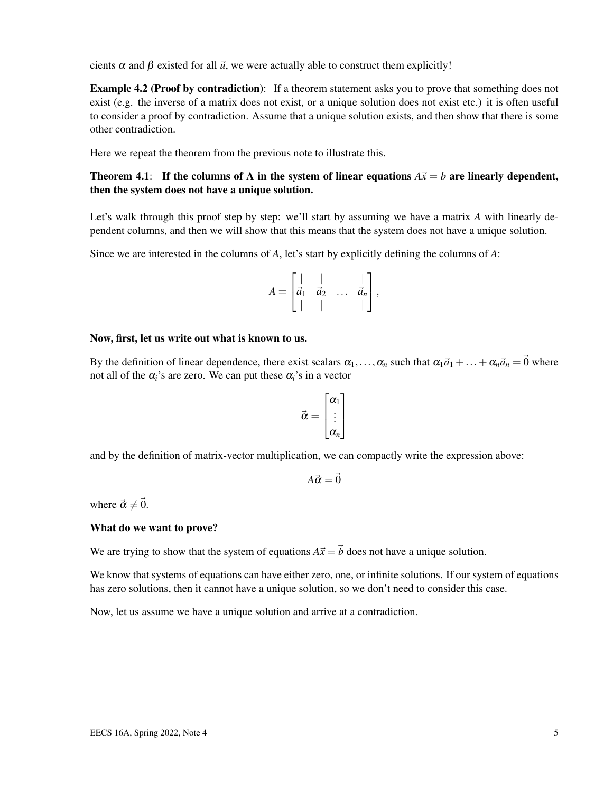cients  $\alpha$  and  $\beta$  existed for all  $\vec{u}$ , we were actually able to construct them explicitly!

**Example 4.2 (Proof by contradiction):** If a theorem statement asks you to prove that something does not exist (e.g. the inverse of a matrix does not exist, or a unique solution does not exist etc.) it is often useful to consider a proof by contradiction. Assume that a unique solution exists, and then show that there is some other contradiction.

Here we repeat the theorem from the previous note to illustrate this.

## Theorem 4.1: If the columns of A in the system of linear equations  $A\vec{x} = b$  are linearly dependent, then the system does not have a unique solution.

Let's walk through this proof step by step: we'll start by assuming we have a matrix A with linearly dependent columns, and then we will show that this means that the system does not have a unique solution.

Since we are interested in the columns of *A*, let's start by explicitly defining the columns of *A*:

$$
A = \begin{bmatrix} | & | & & | \\ \vec{a}_1 & \vec{a}_2 & \dots & \vec{a}_n \\ | & | & | & | \end{bmatrix},
$$

### Now, first, let us write out what is known to us.

By the definition of linear dependence, there exist scalars  $\alpha_1, \ldots, \alpha_n$  such that  $\alpha_1 \vec{a}_1 + \ldots + \alpha_n \vec{a}_n = \vec{0}$  where not all of the  $\alpha_i$ 's are zero. We can put these  $\alpha_i$ 's in a vector

$$
\vec{\alpha} = \begin{bmatrix} \alpha_1 \\ \vdots \\ \alpha_n \end{bmatrix}
$$

and by the definition of matrix-vector multiplication, we can compactly write the expression above:

$$
A\vec{\alpha} = \vec{0}
$$

where  $\vec{\alpha} \neq \vec{0}$ .

#### What do we want to prove?

We are trying to show that the system of equations  $A\vec{x} = \vec{b}$  does not have a unique solution.

We know that systems of equations can have either zero, one, or infinite solutions. If our system of equations has zero solutions, then it cannot have a unique solution, so we don't need to consider this case.

Now, let us assume we have a unique solution and arrive at a contradiction.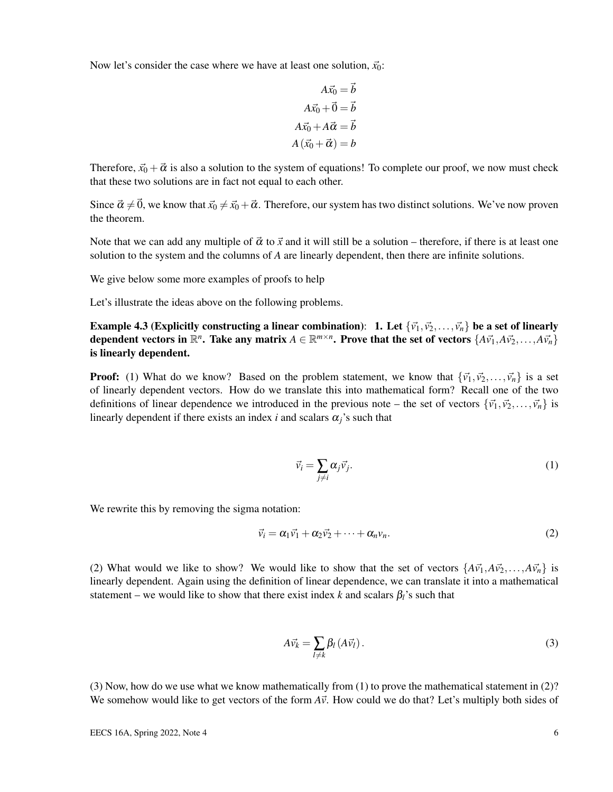Now let's consider the case where we have at least one solution,  $\vec{x}_0$ :

$$
A\vec{x_0} = \vec{b}
$$
  

$$
A\vec{x_0} + \vec{0} = \vec{b}
$$
  

$$
A\vec{x_0} + A\vec{\alpha} = \vec{b}
$$
  

$$
A(\vec{x_0} + \vec{\alpha}) = b
$$

Therefore,  $\vec{x}_0 + \vec{\alpha}$  is also a solution to the system of equations! To complete our proof, we now must check that these two solutions are in fact not equal to each other.

Since  $\vec{\alpha} \neq \vec{0}$ , we know that  $\vec{x_0} \neq \vec{x_0} + \vec{\alpha}$ . Therefore, our system has two distinct solutions. We've now proven the theorem.

Note that we can add any multiple of  $\vec{\alpha}$  to  $\vec{x}$  and it will still be a solution – therefore, if there is at least one solution to the system and the columns of *A* are linearly dependent, then there are infinite solutions.

We give below some more examples of proofs to help

Let's illustrate the ideas above on the following problems.

Example 4.3 (Explicitly constructing a linear combination): 1. Let  $\{\vec{v_1}, \vec{v_2}, \dots, \vec{v_n}\}$  be a set of linearly dependent vectors in  $\mathbb{R}^n$ . Take any matrix  $A \in \mathbb{R}^{m \times n}$ . Prove that the set of vectors  $\{A\vec{v}_1, A\vec{v}_2, \ldots, A\vec{v}_n\}$ is linearly dependent.

**Proof:** (1) What do we know? Based on the problem statement, we know that  $\{\vec{v}_1, \vec{v}_2, \dots, \vec{v}_n\}$  is a set of linearly dependent vectors. How do we translate this into mathematical form? Recall one of the two definitions of linear dependence we introduced in the previous note – the set of vectors  $\{\vec{v_1}, \vec{v_2}, \dots, \vec{v_n}\}$  is linearly dependent if there exists an index  $i$  and scalars  $\alpha_i$ 's such that

$$
\vec{v}_i = \sum_{j \neq i} \alpha_j \vec{v}_j. \tag{1}
$$

We rewrite this by removing the sigma notation:

$$
\vec{v}_i = \alpha_1 \vec{v}_1 + \alpha_2 \vec{v}_2 + \dots + \alpha_n v_n. \tag{2}
$$

(2) What would we like to show? We would like to show that the set of vectors  $\{A\vec{v}_1, A\vec{v}_2, \ldots, A\vec{v}_n\}$  is linearly dependent. Again using the definition of linear dependence, we can translate it into a mathematical statement – we would like to show that there exist index *k* and scalars  $\beta_l$ 's such that

$$
A\vec{v}_k = \sum_{l \neq k} \beta_l \left( A\vec{v}_l \right). \tag{3}
$$

(3) Now, how do we use what we know mathematically from (1) to prove the mathematical statement in (2)? We somehow would like to get vectors of the form  $A\vec{v}$ . How could we do that? Let's multiply both sides of